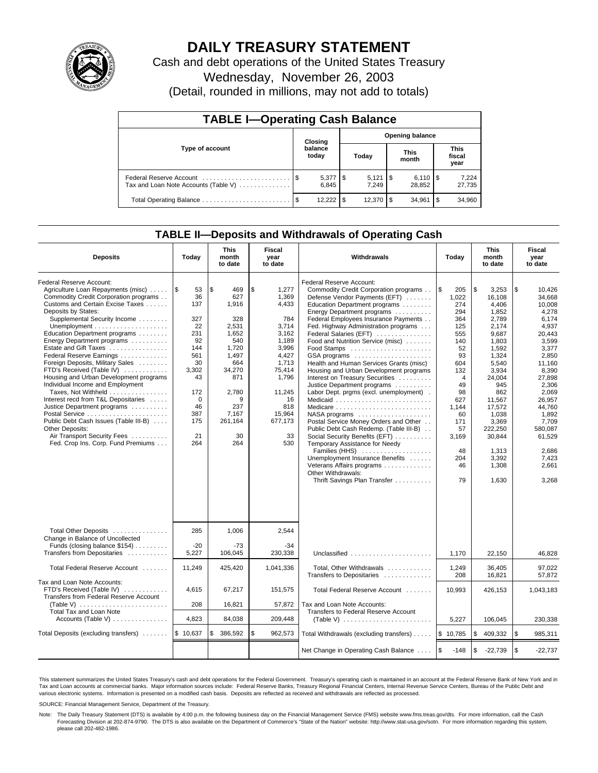

# **DAILY TREASURY STATEMENT**

Cash and debt operations of the United States Treasury Wednesday, November 26, 2003 (Detail, rounded in millions, may not add to totals)

| <b>TABLE I-Operating Cash Balance</b> |  |                     |                        |                               |  |                        |  |                               |  |  |
|---------------------------------------|--|---------------------|------------------------|-------------------------------|--|------------------------|--|-------------------------------|--|--|
|                                       |  | Closing             | <b>Opening balance</b> |                               |  |                        |  |                               |  |  |
| Type of account                       |  | balance<br>today    |                        | <b>This</b><br>Today<br>month |  |                        |  | <b>This</b><br>fiscal<br>year |  |  |
| Tax and Loan Note Accounts (Table V)  |  | $5,377$ \$<br>6.845 |                        | $5,121$ \\$<br>7.249          |  | $6,110$ \ \$<br>28.852 |  | 7,224<br>27,735               |  |  |
|                                       |  | $12,222$ \$         |                        | 12,370   \$                   |  | 34,961                 |  | 34,960                        |  |  |

# **TABLE II—Deposits and Withdrawals of Operating Cash**

| <b>Deposits</b>                                                                                                                                                                                                                                                                                                                                                                                                                                                                                                                                                                                                                                                                                                                                           | Today                                                                                                                                    | <b>This</b><br>month<br>to date                                                                                                                             | Fiscal<br>year<br>to date                                                                                                                                              | Withdrawals                                                                                                                                                                                                                                                                                                                                                                                                                                                                                                                                                                                                                                                                                                                                                                                                                                   | Today                                                                                                                                                                                     | <b>This</b><br>month<br>to date                                                                                                                                                                                                        | <b>Fiscal</b><br>year<br>to date                                                                                                                                                                                                                |
|-----------------------------------------------------------------------------------------------------------------------------------------------------------------------------------------------------------------------------------------------------------------------------------------------------------------------------------------------------------------------------------------------------------------------------------------------------------------------------------------------------------------------------------------------------------------------------------------------------------------------------------------------------------------------------------------------------------------------------------------------------------|------------------------------------------------------------------------------------------------------------------------------------------|-------------------------------------------------------------------------------------------------------------------------------------------------------------|------------------------------------------------------------------------------------------------------------------------------------------------------------------------|-----------------------------------------------------------------------------------------------------------------------------------------------------------------------------------------------------------------------------------------------------------------------------------------------------------------------------------------------------------------------------------------------------------------------------------------------------------------------------------------------------------------------------------------------------------------------------------------------------------------------------------------------------------------------------------------------------------------------------------------------------------------------------------------------------------------------------------------------|-------------------------------------------------------------------------------------------------------------------------------------------------------------------------------------------|----------------------------------------------------------------------------------------------------------------------------------------------------------------------------------------------------------------------------------------|-------------------------------------------------------------------------------------------------------------------------------------------------------------------------------------------------------------------------------------------------|
| Federal Reserve Account:<br>Agriculture Loan Repayments (misc)<br>Commodity Credit Corporation programs<br>Customs and Certain Excise Taxes<br>Deposits by States:<br>Supplemental Security Income<br>Unemployment $\dots\dots\dots\dots\dots\dots\dots$<br>Education Department programs<br>Energy Department programs<br>Estate and Gift Taxes<br>Federal Reserve Earnings<br>Foreign Deposits, Military Sales<br>FTD's Received (Table IV)<br>Housing and Urban Development programs<br>Individual Income and Employment<br>Taxes, Not Withheld<br>Interest recd from T&L Depositaries<br>Justice Department programs<br>Public Debt Cash Issues (Table III-B)<br>Other Deposits:<br>Air Transport Security Fees<br>Fed. Crop Ins. Corp. Fund Premiums | l \$<br>53<br>36<br>137<br>327<br>22<br>231<br>92<br>144<br>561<br>30<br>3,302<br>43<br>172<br>$\Omega$<br>46<br>387<br>175<br>21<br>264 | l \$<br>469<br>627<br>1,916<br>328<br>2,531<br>1,652<br>540<br>1,720<br>1,497<br>664<br>34,270<br>871<br>2,780<br>9<br>237<br>7,167<br>261,164<br>30<br>264 | \$<br>1,277<br>1,369<br>4,433<br>784<br>3,714<br>3.162<br>1,189<br>3,996<br>4,427<br>1,713<br>75,414<br>1.796<br>11,245<br>16<br>818<br>15.964<br>677,173<br>33<br>530 | Federal Reserve Account:<br>Commodity Credit Corporation programs<br>Defense Vendor Payments (EFT)<br>Education Department programs<br>Energy Department programs<br>Federal Employees Insurance Payments<br>Fed. Highway Administration programs<br>Federal Salaries (EFT)<br>Food and Nutrition Service (misc)<br>GSA programs<br>Health and Human Services Grants (misc)<br>Housing and Urban Development programs<br>Interest on Treasury Securities<br>Justice Department programs<br>Labor Dept. prgms (excl. unemployment).<br>Medicaid<br>Postal Service Money Orders and Other<br>Public Debt Cash Redemp. (Table III-B)<br>Social Security Benefits (EFT)<br>Temporary Assistance for Needy<br>Families (HHS)<br>Unemployment Insurance Benefits<br>Veterans Affairs programs<br>Other Withdrawals:<br>Thrift Savings Plan Transfer | \$<br>205<br>1,022<br>274<br>294<br>364<br>125<br>555<br>140<br>52<br>93<br>604<br>132<br>$\overline{4}$<br>49<br>98<br>627<br>1.144<br>60<br>171<br>57<br>3,169<br>48<br>204<br>46<br>79 | \$<br>3,253<br>16.108<br>4,406<br>1,852<br>2,789<br>2,174<br>9,687<br>1,803<br>1,592<br>1,324<br>5,540<br>3,934<br>24.004<br>945<br>862<br>11,567<br>17.572<br>1.038<br>3,369<br>222,250<br>30,844<br>1,313<br>3,392<br>1,308<br>1,630 | 1\$<br>10,426<br>34.668<br>10,008<br>4,278<br>6,174<br>4,937<br>20,443<br>3,599<br>3,377<br>2,850<br>11,160<br>8.390<br>27.898<br>2,306<br>2.069<br>26,957<br>44.760<br>1.892<br>7,709<br>580,087<br>61,529<br>2,686<br>7,423<br>2,661<br>3,268 |
| Total Other Deposits<br>Change in Balance of Uncollected<br>Funds (closing balance \$154)<br>Transfers from Depositaries                                                                                                                                                                                                                                                                                                                                                                                                                                                                                                                                                                                                                                  | 285<br>$-20$<br>5,227                                                                                                                    | 1.006<br>$-73$<br>106,045                                                                                                                                   | 2.544<br>$-34$<br>230.338                                                                                                                                              | Unclassified                                                                                                                                                                                                                                                                                                                                                                                                                                                                                                                                                                                                                                                                                                                                                                                                                                  | 1.170                                                                                                                                                                                     | 22,150                                                                                                                                                                                                                                 | 46,828                                                                                                                                                                                                                                          |
| Total Federal Reserve Account                                                                                                                                                                                                                                                                                                                                                                                                                                                                                                                                                                                                                                                                                                                             | 11,249                                                                                                                                   | 425,420                                                                                                                                                     | 1,041,336                                                                                                                                                              | Total, Other Withdrawals                                                                                                                                                                                                                                                                                                                                                                                                                                                                                                                                                                                                                                                                                                                                                                                                                      | 1,249                                                                                                                                                                                     | 36,405                                                                                                                                                                                                                                 | 97,022                                                                                                                                                                                                                                          |
| Tax and Loan Note Accounts:<br>FTD's Received (Table IV)<br>Transfers from Federal Reserve Account<br>Total Tax and Loan Note                                                                                                                                                                                                                                                                                                                                                                                                                                                                                                                                                                                                                             | 4,615<br>208                                                                                                                             | 67,217<br>16,821                                                                                                                                            | 151,575<br>57,872                                                                                                                                                      | Transfers to Depositaries<br>Total Federal Reserve Account<br>Tax and Loan Note Accounts:<br>Transfers to Federal Reserve Account                                                                                                                                                                                                                                                                                                                                                                                                                                                                                                                                                                                                                                                                                                             | 208<br>10,993                                                                                                                                                                             | 16,821<br>426,153                                                                                                                                                                                                                      | 57,872<br>1,043,183                                                                                                                                                                                                                             |
| Accounts (Table V)                                                                                                                                                                                                                                                                                                                                                                                                                                                                                                                                                                                                                                                                                                                                        | 4,823                                                                                                                                    | 84,038                                                                                                                                                      | 209,448                                                                                                                                                                | (Table V) $\ldots \ldots \ldots \ldots \ldots \ldots \ldots$                                                                                                                                                                                                                                                                                                                                                                                                                                                                                                                                                                                                                                                                                                                                                                                  | 5,227                                                                                                                                                                                     | 106,045                                                                                                                                                                                                                                | 230,338                                                                                                                                                                                                                                         |
| Total Deposits (excluding transfers)                                                                                                                                                                                                                                                                                                                                                                                                                                                                                                                                                                                                                                                                                                                      | \$10,637                                                                                                                                 | \$<br>386,592                                                                                                                                               | \$<br>962,573                                                                                                                                                          | Total Withdrawals (excluding transfers)                                                                                                                                                                                                                                                                                                                                                                                                                                                                                                                                                                                                                                                                                                                                                                                                       | \$10,785                                                                                                                                                                                  | \$<br>409,332                                                                                                                                                                                                                          | l \$<br>985,311                                                                                                                                                                                                                                 |
|                                                                                                                                                                                                                                                                                                                                                                                                                                                                                                                                                                                                                                                                                                                                                           |                                                                                                                                          |                                                                                                                                                             |                                                                                                                                                                        | Net Change in Operating Cash Balance                                                                                                                                                                                                                                                                                                                                                                                                                                                                                                                                                                                                                                                                                                                                                                                                          | \$<br>$-148$                                                                                                                                                                              | \$<br>$-22,739$                                                                                                                                                                                                                        | l\$<br>$-22,737$                                                                                                                                                                                                                                |

This statement summarizes the United States Treasury's cash and debt operations for the Federal Government. Treasury's operating cash is maintained in an account at the Federal Reserve Bank of New York and in Tax and Loan accounts at commercial banks. Major information sources include: Federal Reserve Banks, Treasury Regional Financial Centers, Internal Revenue Service Centers, Bureau of the Public Debt and<br>various electronic s

SOURCE: Financial Management Service, Department of the Treasury.

Note: The Daily Treasury Statement (DTS) is available by 4:00 p.m. the following business day on the Financial Management Service (FMS) website www.fms.treas.gov/dts. For more information, call the Cash Forecasting Division at 202-874-9790. The DTS is also available on the Department of Commerce's "State of the Nation" website: http://www.stat-usa.gov/sotn. For more information regarding this system, please call 202-482-1986.